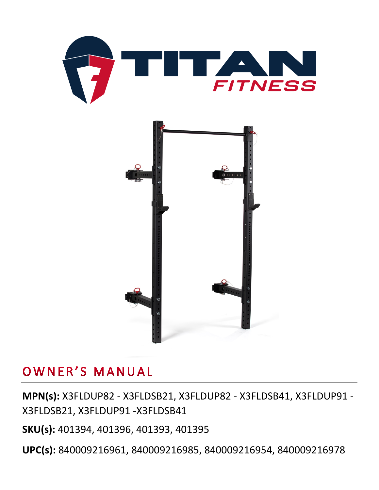



## OWNER'S MANUAL

**MPN(s):** X3FLDUP82 - X3FLDSB21, X3FLDUP82 - X3FLDSB41, X3FLDUP91 - X3FLDSB21, X3FLDUP91 -X3FLDSB41

**SKU(s):** 401394, 401396, 401393, 401395

**UPC(s):** 840009216961, 840009216985, 840009216954, 840009216978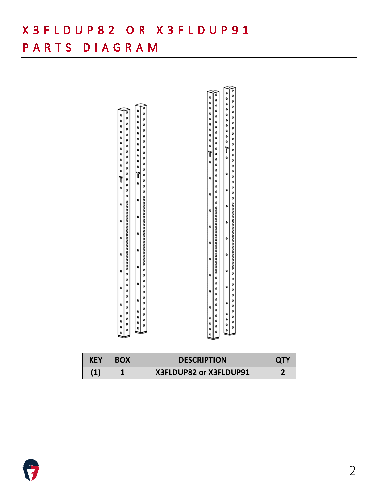## X 3 F L D U P 8 2 O R X 3 F L D U P 9 1

#### PARTS DIAGRAM



| <b>KEY</b> | <b>BOX</b> | <b>DESCRIPTION</b>     |  |
|------------|------------|------------------------|--|
| $\bf (1)$  |            | X3FLDUP82 or X3FLDUP91 |  |

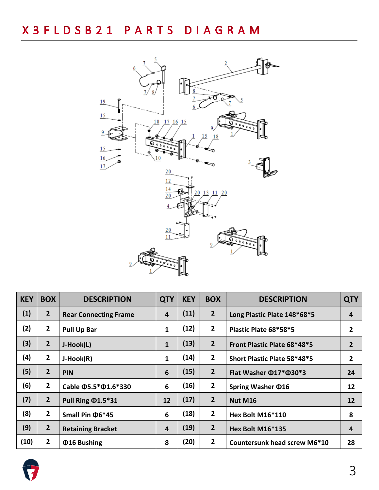

| <b>KEY</b> | <b>BOX</b>     | <b>DESCRIPTION</b>               | <b>QTY</b>              | <b>KEY</b> | <b>BOX</b>     | <b>DESCRIPTION</b>                 | <b>QTY</b>     |
|------------|----------------|----------------------------------|-------------------------|------------|----------------|------------------------------------|----------------|
| (1)        | $\overline{2}$ | <b>Rear Connecting Frame</b>     | 4                       | (11)       | $\overline{2}$ | Long Plastic Plate 148*68*5        | 4              |
| (2)        | $\overline{2}$ | <b>Pull Up Bar</b>               | $\mathbf{1}$            | (12)       | $\overline{2}$ | Plastic Plate 68*58*5              | $\overline{2}$ |
| (3)        | $\overline{2}$ | J-Hook(L)                        | $\mathbf{1}$            | (13)       | $\overline{2}$ | Front Plastic Plate 68*48*5        | $\overline{2}$ |
| (4)        | $\overline{2}$ | J-Hook(R)                        | $\mathbf{1}$            | (14)       | $\overline{2}$ | Short Plastic Plate 58*48*5        | $\overline{2}$ |
| (5)        | $\overline{2}$ | <b>PIN</b>                       | $6\phantom{1}6$         | (15)       | $\overline{2}$ | Flat Washer $\Phi$ 17* $\Phi$ 30*3 | 24             |
| (6)        | $\overline{2}$ | Cable $\Phi$ 5.5* $\Phi$ 1.6*330 | 6                       | (16)       | $\overline{2}$ | Spring Washer $\Phi$ 16            | 12             |
| (7)        | $\overline{2}$ | Pull Ring @1.5*31                | 12                      | (17)       | $\overline{2}$ | <b>Nut M16</b>                     | 12             |
| (8)        | $\overline{2}$ | Small Pin $\Phi$ 6*45            | 6                       | (18)       | $\overline{2}$ | Hex Bolt M16*110                   | 8              |
| (9)        | $\overline{2}$ | <b>Retaining Bracket</b>         | $\overline{\mathbf{4}}$ | (19)       | $\overline{2}$ | Hex Bolt M16*135                   | 4              |
| (10)       | $\overline{2}$ | <b>Φ16 Bushing</b>               | 8                       | (20)       | $\overline{2}$ | Countersunk head screw M6*10       | 28             |

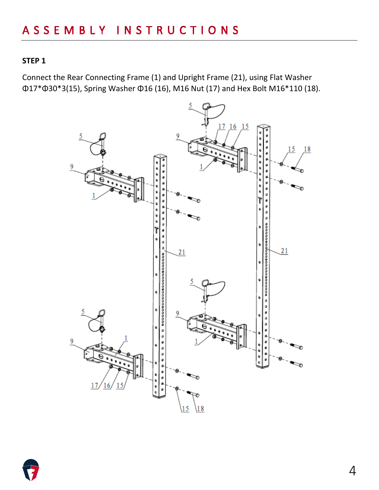Connect the Rear Connecting Frame (1) and Upright Frame (21), using Flat Washer Φ17\*Φ30\*3(15), Spring Washer Φ16 (16), M16 Nut (17) and Hex Bolt M16\*110 (18).



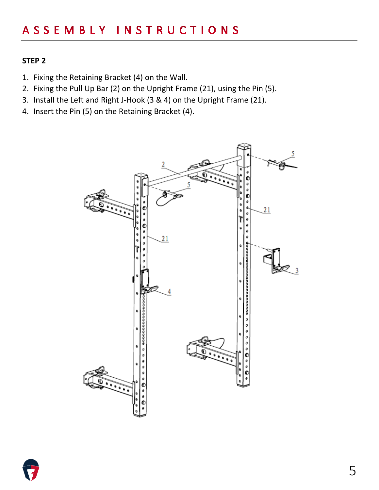- 1. Fixing the Retaining Bracket (4) on the Wall.
- 2. Fixing the Pull Up Bar (2) on the Upright Frame (21), using the Pin (5).
- 3. Install the Left and Right J-Hook (3 & 4) on the Upright Frame (21).
- 4. Insert the Pin (5) on the Retaining Bracket (4).



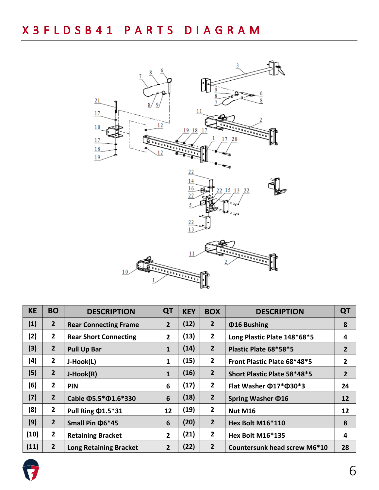

| <b>KE</b> | <b>BO</b>      | <b>DESCRIPTION</b>               | QT             | <b>KEY</b> | <b>BOX</b>     | <b>DESCRIPTION</b>                 | QT             |
|-----------|----------------|----------------------------------|----------------|------------|----------------|------------------------------------|----------------|
| (1)       | $\overline{2}$ | <b>Rear Connecting Frame</b>     | $\overline{2}$ | (12)       | $\overline{2}$ | <b>Φ16 Bushing</b>                 | 8              |
| (2)       | $\overline{2}$ | <b>Rear Short Connecting</b>     | $\overline{2}$ | (13)       | $\overline{2}$ | Long Plastic Plate 148*68*5        | 4              |
| (3)       | $\overline{2}$ | <b>Pull Up Bar</b>               | $\mathbf{1}$   | (14)       | $\overline{2}$ | Plastic Plate 68*58*5              | $\overline{2}$ |
| (4)       | $\overline{2}$ | J-Hook(L)                        | $\mathbf{1}$   | (15)       | $\overline{2}$ | Front Plastic Plate 68*48*5        | $\overline{2}$ |
| (5)       | $\overline{2}$ | J-Hook(R)                        | $\mathbf{1}$   | (16)       | $\overline{2}$ | Short Plastic Plate 58*48*5        | $\overline{2}$ |
| (6)       | $\overline{2}$ | <b>PIN</b>                       | 6              | (17)       | $\overline{2}$ | Flat Washer $\Phi$ 17* $\Phi$ 30*3 | 24             |
| (7)       | $\overline{2}$ | Cable $\Phi$ 5.5* $\Phi$ 1.6*330 | 6              | (18)       | $\overline{2}$ | Spring Washer $\Phi$ 16            | 12             |
| (8)       | $\overline{2}$ | Pull Ring $\Phi$ 1.5*31          | 12             | (19)       | $\overline{2}$ | <b>Nut M16</b>                     | 12             |
| (9)       | $\overline{2}$ | Small Pin $\Phi$ 6*45            | 6              | (20)       | $\overline{2}$ | Hex Bolt M16*110                   | 8              |
| (10)      | $\overline{2}$ | <b>Retaining Bracket</b>         | $\overline{2}$ | (21)       | $\mathbf{2}$   | <b>Hex Bolt M16*135</b>            | 4              |
| (11)      | $\overline{2}$ | <b>Long Retaining Bracket</b>    | $\overline{2}$ | (22)       | $\overline{2}$ | Countersunk head screw M6*10       | 28             |

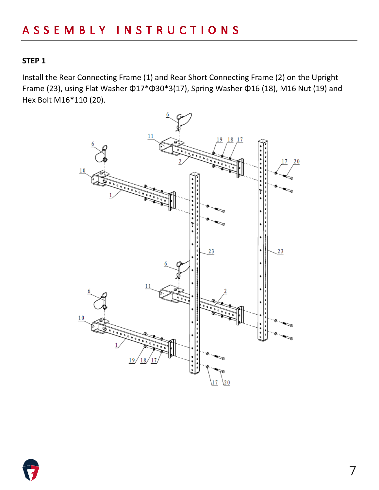Install the Rear Connecting Frame (1) and Rear Short Connecting Frame (2) on the Upright Frame (23), using Flat Washer Φ17\*Φ30\*3(17), Spring Washer Φ16 (18), M16 Nut (19) and Hex Bolt M16\*110 (20).



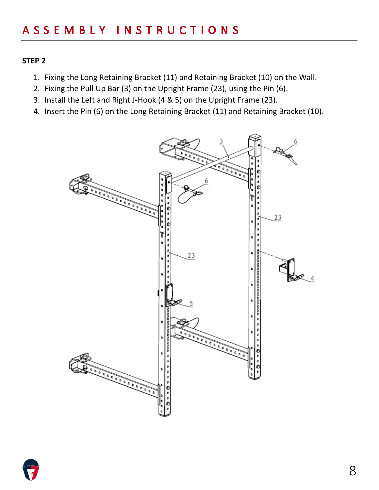- 1. Fixing the Long Retaining Bracket (11) and Retaining Bracket (10) on the Wall.
- 2. Fixing the Pull Up Bar (3) on the Upright Frame (23), using the Pin (6).
- 3. Install the Left and Right J-Hook (4 & 5) on the Upright Frame (23).
- 4. Insert the Pin (6) on the Long Retaining Bracket (11) and Retaining Bracket (10).